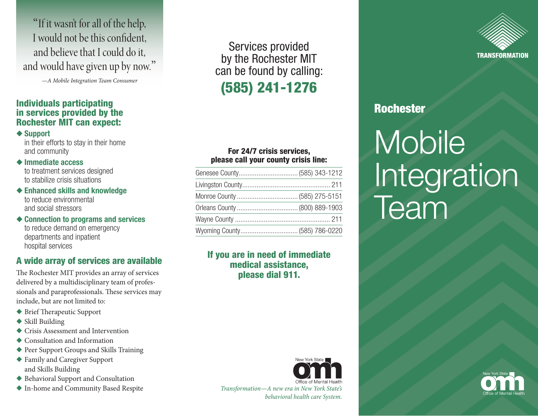"If it wasn't for all of the help, I would not be this confident, and believe that I could do it, and would have given up by now."

*—A Mobile Integration Team Consumer*

## Individuals participating in services provided by the Rochester MIT can expect:

 $\triangle$  Support

in their efforts to stay in their home and community

#### $\triangle$  Immediate access

to treatment services designed to stabilize crisis situations

- $\triangle$  Enhanced skills and knowledge to reduce environmental and social stressors
- $\triangle$  Connection to programs and services to reduce demand on emergency departments and inpatient hospital services

# A wide array of services are available

The Rochester MIT provides an array of services delivered by a multidisciplinary team of professionals and paraprofessionals. These services may include, but are not limited to:

- $\blacklozenge$  Brief Therapeutic Support
- $\blacklozenge$  Skill Building
- $\triangle$  Crisis Assessment and Intervention
- $\triangle$  Consultation and Information
- $\blacklozenge$  Peer Support Groups and Skills Training
- ◆ Family and Caregiver Support and Skills Building
- ◆ Behavioral Support and Consultation
- ◆ In-home and Community Based Respite *Transformation—A new era in New York State's*

Services provided by the Rochester MIT can be found by calling: (585) 241-1276

## For 24/7 crisis services, please call your county crisis line:

| Orleans County  (800) 889-1903 |  |
|--------------------------------|--|
|                                |  |
| Wyoming County (585) 786-0220  |  |

# If you are in need of immediate medical assistance, please dial 911.



*behavioral health care System.*



# Rochester

# **Mobile** Integration Team